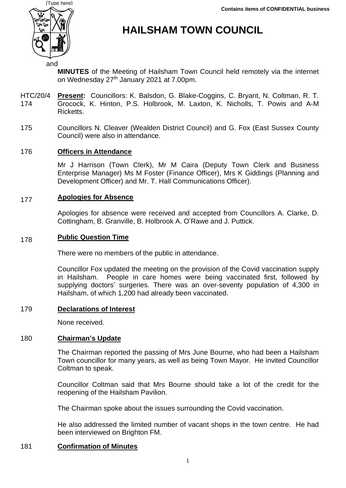

# **HAILSHAM TOWN COUNCIL**

**MINUTES** of the Meeting of Hailsham Town Council held remotely via the internet on Wednesday 27<sup>th</sup> January 2021 at 7.00pm.

- HTC/20/4 174 **Present:** Councillors: K. Balsdon, G. Blake-Coggins, C. Bryant, N. Coltman, R. T. Grocock, K. Hinton, P.S. Holbrook, M. Laxton, K. Nicholls, T. Powis and A-M Ricketts.
- 175 Councillors N. Cleaver (Wealden District Council) and G. Fox (East Sussex County Council) were also in attendance.

#### 176 **Officers in Attendance**

Mr J Harrison (Town Clerk), Mr M Caira (Deputy Town Clerk and Business Enterprise Manager) Ms M Foster (Finance Officer), Mrs K Giddings (Planning and Development Officer) and Mr. T. Hall Communications Officer).

#### 177 **Apologies for Absence**

Apologies for absence were received and accepted from Councillors A. Clarke, D. Cottingham, B. Granville, B. Holbrook A. O'Rawe and J. Puttick.

#### 178 **Public Question Time**

There were no members of the public in attendance.

Councillor Fox updated the meeting on the provision of the Covid vaccination supply in Hailsham. People in care homes were being vaccinated first, followed by supplying doctors' surgeries. There was an over-seventy population of 4,300 in Hailsham, of which 1,200 had already been vaccinated.

### 179 **Declarations of Interest**

None received.

# 180 **Chairman's Update**

The Chairman reported the passing of Mrs June Bourne, who had been a Hailsham Town councillor for many years, as well as being Town Mayor. He invited Councillor Coltman to speak.

Councillor Coltman said that Mrs Bourne should take a lot of the credit for the reopening of the Hailsham Pavilion.

The Chairman spoke about the issues surrounding the Covid vaccination.

He also addressed the limited number of vacant shops in the town centre. He had been interviewed on Brighton FM.

### 181 **Confirmation of Minutes**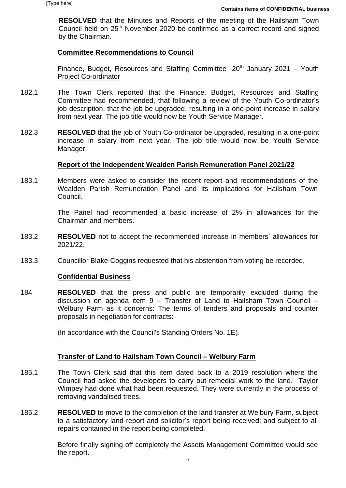**RESOLVED** that the Minutes and Reports of the meeting of the Hailsham Town Council held on 25<sup>th</sup> November 2020 be confirmed as a correct record and signed by the Chairman.

### **Committee Recommendations to Council**

Finance, Budget, Resources and Staffing Committee  $-20<sup>th</sup>$  January 2021 – Youth Project Co-ordinator

- 182.1 The Town Clerk reported that the Finance, Budget, Resources and Staffing Committee had recommended, that following a review of the Youth Co-ordinator's job description, that the job be upgraded, resulting in a one-point increase in salary from next year. The job title would now be Youth Service Manager.
- 182.3 **RESOLVED** that the job of Youth Co-ordinator be upgraded, resulting in a one-point increase in salary from next year. The job title would now be Youth Service Manager.

### **Report of the Independent Wealden Parish Remuneration Panel 2021/22**

183.1 Members were asked to consider the recent report and recommendations of the Wealden Parish Remuneration Panel and its implications for Hailsham Town Council.

> The Panel had recommended a basic increase of 2% in allowances for the Chairman and members.

- 183.2 **RESOLVED** not to accept the recommended increase in members' allowances for 2021/22.
- 183.3 Councillor Blake-Coggins requested that his abstention from voting be recorded,

### **Confidential Business**

184 **RESOLVED** that the press and public are temporarily excluded during the discussion on agenda item 9 – Transfer of Land to Hailsham Town Council – Welbury Farm as it concerns: The terms of tenders and proposals and counter proposals in negotiation for contracts:

(In accordance with the Council's Standing Orders No. 1E).

# **Transfer of Land to Hailsham Town Council – Welbury Farm**

- 185.1 The Town Clerk said that this item dated back to a 2019 resolution where the Council had asked the developers to carry out remedial work to the land. Taylor Wimpey had done what had been requested. They were currently in the process of removing vandalised trees.
- 185.2 **RESOLVED** to move to the completion of the land transfer at Welbury Farm, subject to a satisfactory land report and solicitor's report being received; and subject to all repairs contained in the report being completed.

Before finally signing off completely the Assets Management Committee would see the report.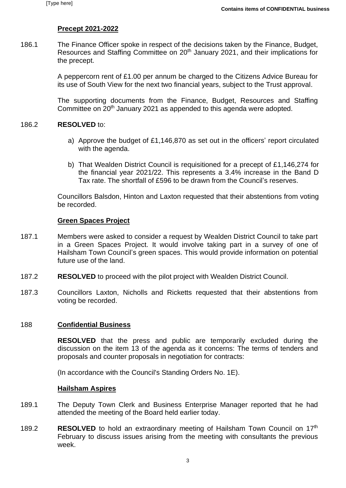# **Precept 2021-2022**

186.1 The Finance Officer spoke in respect of the decisions taken by the Finance, Budget, Resources and Staffing Committee on 20<sup>th</sup> January 2021, and their implications for the precept.

> A peppercorn rent of £1.00 per annum be charged to the Citizens Advice Bureau for its use of South View for the next two financial years, subject to the Trust approval.

> The supporting documents from the Finance, Budget, Resources and Staffing Committee on 20<sup>th</sup> January 2021 as appended to this agenda were adopted.

#### 186.2 **RESOLVED** to:

- a) Approve the budget of £1,146,870 as set out in the officers' report circulated with the agenda.
- b) That Wealden District Council is requisitioned for a precept of £1,146,274 for the financial year 2021/22. This represents a 3.4% increase in the Band D Tax rate. The shortfall of £596 to be drawn from the Council's reserves.

Councillors Balsdon, Hinton and Laxton requested that their abstentions from voting be recorded.

#### **Green Spaces Project**

- 187.1 Members were asked to consider a request by Wealden District Council to take part in a Green Spaces Project. It would involve taking part in a survey of one of Hailsham Town Council's green spaces. This would provide information on potential future use of the land.
- 187.2 **RESOLVED** to proceed with the pilot project with Wealden District Council.
- 187.3 Councillors Laxton, Nicholls and Ricketts requested that their abstentions from voting be recorded.

#### 188 **Confidential Business**

**RESOLVED** that the press and public are temporarily excluded during the discussion on the item 13 of the agenda as it concerns: The terms of tenders and proposals and counter proposals in negotiation for contracts:

(In accordance with the Council's Standing Orders No. 1E).

#### **Hailsham Aspires**

- 189.1 The Deputy Town Clerk and Business Enterprise Manager reported that he had attended the meeting of the Board held earlier today.
- 189.2 **RESOLVED** to hold an extraordinary meeting of Hailsham Town Council on 17<sup>th</sup> February to discuss issues arising from the meeting with consultants the previous week.